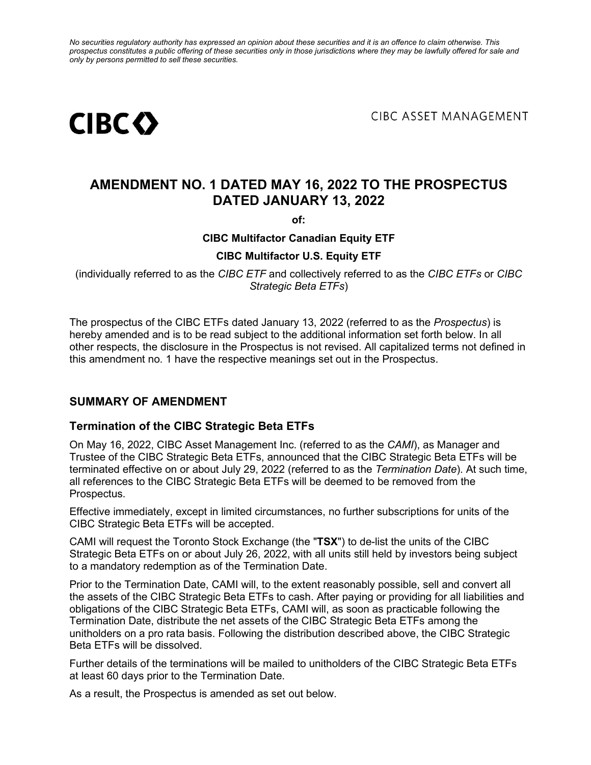*No securities regulatory authority has expressed an opinion about these securities and it is an offence to claim otherwise. This prospectus constitutes a public offering of these securities only in those jurisdictions where they may be lawfully offered for sale and only by persons permitted to sell these securities.*



**CIBC ASSET MANAGEMENT** 

## **AMENDMENT NO. 1 DATED MAY 16, 2022 TO THE PROSPECTUS DATED JANUARY 13, 2022**

**of:**

#### **CIBC Multifactor Canadian Equity ETF**

#### **CIBC Multifactor U.S. Equity ETF**

(individually referred to as the *CIBC ETF* and collectively referred to as the *CIBC ETFs* or *CIBC Strategic Beta ETFs*)

The prospectus of the CIBC ETFs dated January 13, 2022 (referred to as the *Prospectus*) is hereby amended and is to be read subject to the additional information set forth below. In all other respects, the disclosure in the Prospectus is not revised. All capitalized terms not defined in this amendment no. 1 have the respective meanings set out in the Prospectus.

#### **SUMMARY OF AMENDMENT**

#### **Termination of the CIBC Strategic Beta ETFs**

On May 16, 2022, CIBC Asset Management Inc. (referred to as the *CAMI*), as Manager and Trustee of the CIBC Strategic Beta ETFs, announced that the CIBC Strategic Beta ETFs will be terminated effective on or about July 29, 2022 (referred to as the *Termination Date*). At such time, all references to the CIBC Strategic Beta ETFs will be deemed to be removed from the Prospectus.

Effective immediately, except in limited circumstances, no further subscriptions for units of the CIBC Strategic Beta ETFs will be accepted.

CAMI will request the Toronto Stock Exchange (the "**TSX**") to de-list the units of the CIBC Strategic Beta ETFs on or about July 26, 2022, with all units still held by investors being subject to a mandatory redemption as of the Termination Date.

Prior to the Termination Date, CAMI will, to the extent reasonably possible, sell and convert all the assets of the CIBC Strategic Beta ETFs to cash. After paying or providing for all liabilities and obligations of the CIBC Strategic Beta ETFs, CAMI will, as soon as practicable following the Termination Date, distribute the net assets of the CIBC Strategic Beta ETFs among the unitholders on a pro rata basis. Following the distribution described above, the CIBC Strategic Beta ETFs will be dissolved.

Further details of the terminations will be mailed to unitholders of the CIBC Strategic Beta ETFs at least 60 days prior to the Termination Date.

As a result, the Prospectus is amended as set out below.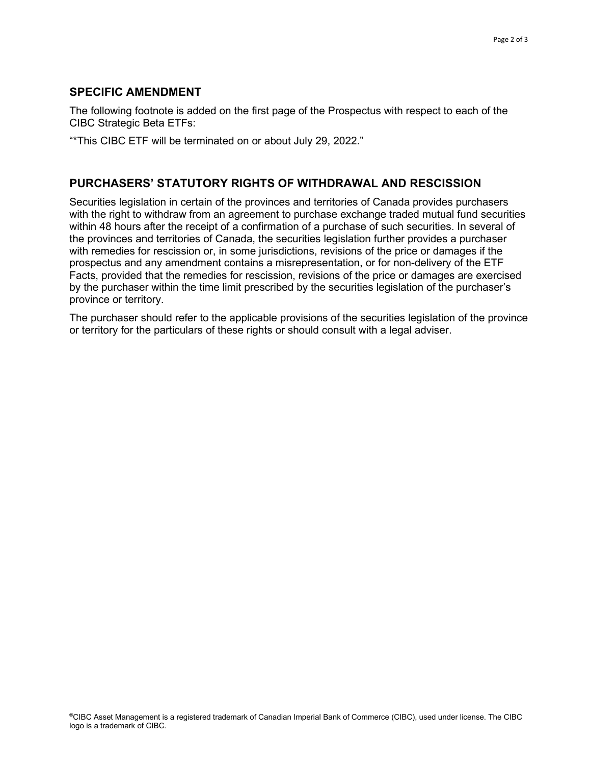#### **SPECIFIC AMENDMENT**

The following footnote is added on the first page of the Prospectus with respect to each of the CIBC Strategic Beta ETFs:

"\*This CIBC ETF will be terminated on or about July 29, 2022."

#### **PURCHASERS' STATUTORY RIGHTS OF WITHDRAWAL AND RESCISSION**

Securities legislation in certain of the provinces and territories of Canada provides purchasers with the right to withdraw from an agreement to purchase exchange traded mutual fund securities within 48 hours after the receipt of a confirmation of a purchase of such securities. In several of the provinces and territories of Canada, the securities legislation further provides a purchaser with remedies for rescission or, in some jurisdictions, revisions of the price or damages if the prospectus and any amendment contains a misrepresentation, or for non-delivery of the ETF Facts, provided that the remedies for rescission, revisions of the price or damages are exercised by the purchaser within the time limit prescribed by the securities legislation of the purchaser's province or territory.

The purchaser should refer to the applicable provisions of the securities legislation of the province or territory for the particulars of these rights or should consult with a legal adviser.